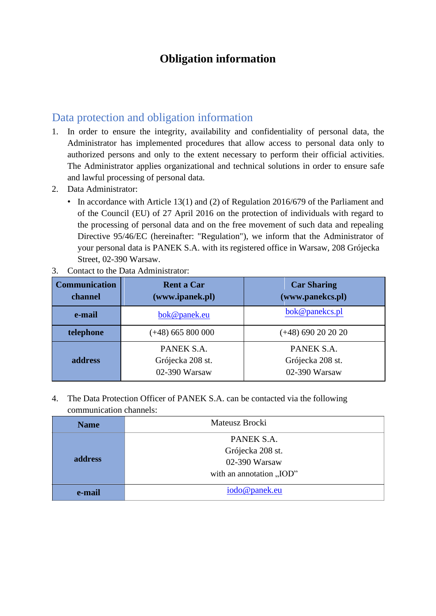## **Obligation information**

## Data protection and obligation information

- 1. In order to ensure the integrity, availability and confidentiality of personal data, the Administrator has implemented procedures that allow access to personal data only to authorized persons and only to the extent necessary to perform their official activities. The Administrator applies organizational and technical solutions in order to ensure safe and lawful processing of personal data.
- 2. Data Administrator:
	- In accordance with Article 13(1) and (2) of Regulation 2016/679 of the Parliament and of the Council (EU) of 27 April 2016 on the protection of individuals with regard to the processing of personal data and on the free movement of such data and repealing Directive 95/46/EC (hereinafter: "Regulation"), we inform that the Administrator of your personal data is PANEK S.A. with its registered office in Warsaw, 208 Grójecka Street, 02-390 Warsaw.

| <b>Communication</b><br>channel | <b>Rent a Car</b><br>(www.ipanek.pl)            | <b>Car Sharing</b><br>(www.panekcs.pl)          |
|---------------------------------|-------------------------------------------------|-------------------------------------------------|
| e-mail                          | bok@panek.eu                                    | bok@panekcs.pl                                  |
| telephone                       | $(+48)$ 665 800 000                             | $(+48)$ 690 20 20 20                            |
| address                         | PANEK S.A.<br>Grójecka 208 st.<br>02-390 Warsaw | PANEK S.A.<br>Grójecka 208 st.<br>02-390 Warsaw |

3. Contact to the Data Administrator:

4. The Data Protection Officer of PANEK S.A. can be contacted via the following communication channels:

| <b>Name</b> | Mateusz Brocki                                                              |  |
|-------------|-----------------------------------------------------------------------------|--|
| address     | PANEK S.A.<br>Grójecka 208 st.<br>02-390 Warsaw<br>with an annotation "IOD" |  |
| e-mail      | iodo@panek.eu                                                               |  |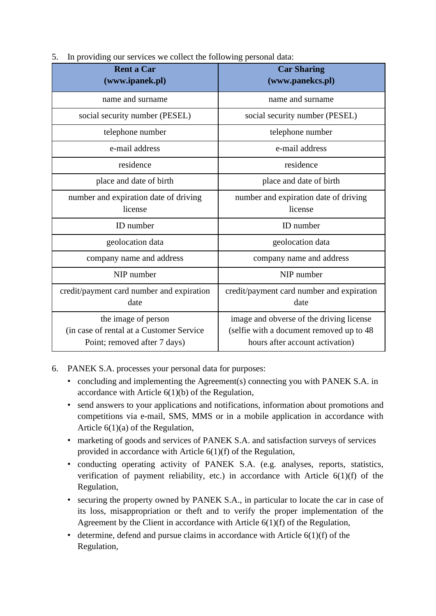| <b>Rent a Car</b><br>(www.ipanek.pl)                                                            | <b>Car Sharing</b><br>(www.panekcs.pl)                                                                                  |
|-------------------------------------------------------------------------------------------------|-------------------------------------------------------------------------------------------------------------------------|
| name and surname                                                                                | name and surname                                                                                                        |
| social security number (PESEL)                                                                  | social security number (PESEL)                                                                                          |
| telephone number                                                                                | telephone number                                                                                                        |
| e-mail address                                                                                  | e-mail address                                                                                                          |
| residence                                                                                       | residence                                                                                                               |
| place and date of birth                                                                         | place and date of birth                                                                                                 |
| number and expiration date of driving<br>license                                                | number and expiration date of driving<br>license                                                                        |
| ID number                                                                                       | ID number                                                                                                               |
| geolocation data                                                                                | geolocation data                                                                                                        |
| company name and address                                                                        | company name and address                                                                                                |
| NIP number                                                                                      | NIP number                                                                                                              |
| credit/payment card number and expiration<br>date                                               | credit/payment card number and expiration<br>date                                                                       |
| the image of person<br>(in case of rental at a Customer Service<br>Point; removed after 7 days) | image and obverse of the driving license<br>(selfie with a document removed up to 48<br>hours after account activation) |

5. In providing our services we collect the following personal data:

- 6. PANEK S.A. processes your personal data for purposes:
	- concluding and implementing the Agreement(s) connecting you with PANEK S.A. in accordance with Article 6(1)(b) of the Regulation,
	- send answers to your applications and notifications, information about promotions and competitions via e-mail, SMS, MMS or in a mobile application in accordance with Article 6(1)(a) of the Regulation,
	- marketing of goods and services of PANEK S.A. and satisfaction surveys of services provided in accordance with Article 6(1)(f) of the Regulation,
	- conducting operating activity of PANEK S.A. (e.g. analyses, reports, statistics, verification of payment reliability, etc.) in accordance with Article  $6(1)(f)$  of the Regulation,
	- securing the property owned by PANEK S.A., in particular to locate the car in case of its loss, misappropriation or theft and to verify the proper implementation of the Agreement by the Client in accordance with Article 6(1)(f) of the Regulation,
	- determine, defend and pursue claims in accordance with Article  $6(1)(f)$  of the Regulation,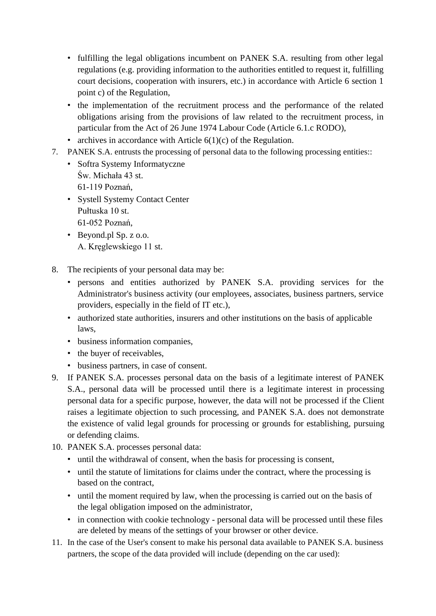- fulfilling the legal obligations incumbent on PANEK S.A. resulting from other legal regulations (e.g. providing information to the authorities entitled to request it, fulfilling court decisions, cooperation with insurers, etc.) in accordance with Article 6 section 1 point c) of the Regulation,
- the implementation of the recruitment process and the performance of the related obligations arising from the provisions of law related to the recruitment process, in particular from the Act of 26 June 1974 Labour Code (Article 6.1.c RODO),
- archives in accordance with Article  $6(1)(c)$  of the Regulation.
- 7. PANEK S.A. entrusts the processing of personal data to the following processing entities::
	- Softra Systemy Informatyczne Św. Michała 43 st. 61-119 Poznań,
	- Systell Systemy Contact Center Pułtuska 10 st. 61-052 Poznań,
	- Beyond.pl Sp. z o.o. A. Kręglewskiego 11 st.
- 8. The recipients of your personal data may be:
	- persons and entities authorized by PANEK S.A. providing services for the Administrator's business activity (our employees, associates, business partners, service providers, especially in the field of IT etc.),
	- authorized state authorities, insurers and other institutions on the basis of applicable laws,
	- business information companies,
	- the buyer of receivables,
	- business partners, in case of consent.
- 9. If PANEK S.A. processes personal data on the basis of a legitimate interest of PANEK S.A., personal data will be processed until there is a legitimate interest in processing personal data for a specific purpose, however, the data will not be processed if the Client raises a legitimate objection to such processing, and PANEK S.A. does not demonstrate the existence of valid legal grounds for processing or grounds for establishing, pursuing or defending claims.
- 10. PANEK S.A. processes personal data:
	- until the withdrawal of consent, when the basis for processing is consent,
	- until the statute of limitations for claims under the contract, where the processing is based on the contract,
	- until the moment required by law, when the processing is carried out on the basis of the legal obligation imposed on the administrator,
	- in connection with cookie technology personal data will be processed until these files are deleted by means of the settings of your browser or other device.
- 11. In the case of the User's consent to make his personal data available to PANEK S.A. business partners, the scope of the data provided will include (depending on the car used):